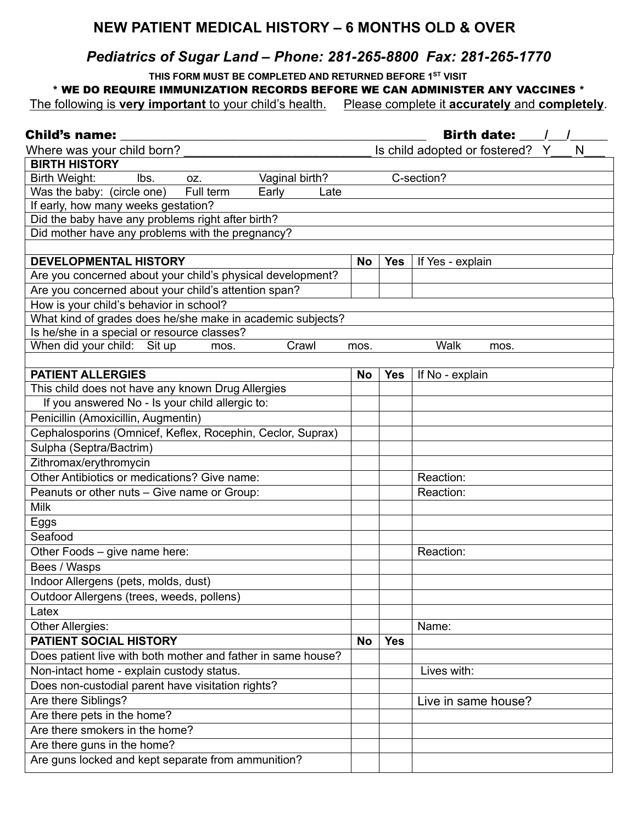## **NEW PATIENT MEDICAL HISTORY – 6 MONTHS OLD & OVER**

## *Pediatrics of Sugar Land – Phone: 281-265-8800 Fax: 281-265-1770*

 **THIS FORM MUST BE COMPLETED AND RETURNED BEFORE 1ST VISIT**

\* WE DO REQUIRE IMMUNIZATION RECORDS BEFORE WE CAN ADMINISTER ANY VACCINES \*

The following is **very important** to your child's health. Please complete it **accurately** and **completely**.

| <b>Child's name:</b>                                         | Birth date: / /                      |            |                     |  |  |  |
|--------------------------------------------------------------|--------------------------------------|------------|---------------------|--|--|--|
| Where was your child born?                                   | Is child adopted or fostered? Y<br>N |            |                     |  |  |  |
| <b>BIRTH HISTORY</b>                                         |                                      |            |                     |  |  |  |
| lbs.<br>Vaginal birth?<br>Birth Weight:<br>OZ.               | C-section?                           |            |                     |  |  |  |
| Was the baby: (circle one)<br>Full term<br>Early<br>Late     |                                      |            |                     |  |  |  |
| If early, how many weeks gestation?                          |                                      |            |                     |  |  |  |
| Did the baby have any problems right after birth?            |                                      |            |                     |  |  |  |
| Did mother have any problems with the pregnancy?             |                                      |            |                     |  |  |  |
| <b>DEVELOPMENTAL HISTORY</b>                                 | <b>No</b>                            | <b>Yes</b> | If Yes - explain    |  |  |  |
| Are you concerned about your child's physical development?   |                                      |            |                     |  |  |  |
| Are you concerned about your child's attention span?         |                                      |            |                     |  |  |  |
| How is your child's behavior in school?                      |                                      |            |                     |  |  |  |
| What kind of grades does he/she make in academic subjects?   |                                      |            |                     |  |  |  |
| Is he/she in a special or resource classes?                  |                                      |            |                     |  |  |  |
| When did your child: Sit up<br>Crawl<br>mos.                 | mos.                                 |            | Walk<br>mos.        |  |  |  |
|                                                              |                                      |            |                     |  |  |  |
| <b>PATIENT ALLERGIES</b>                                     | <b>No</b>                            | <b>Yes</b> | If No - explain     |  |  |  |
| This child does not have any known Drug Allergies            |                                      |            |                     |  |  |  |
| If you answered No - Is your child allergic to:              |                                      |            |                     |  |  |  |
| Penicillin (Amoxicillin, Augmentin)                          |                                      |            |                     |  |  |  |
| Cephalosporins (Omnicef, Keflex, Rocephin, Ceclor, Suprax)   |                                      |            |                     |  |  |  |
| Sulpha (Septra/Bactrim)                                      |                                      |            |                     |  |  |  |
| Zithromax/erythromycin                                       |                                      |            |                     |  |  |  |
| Other Antibiotics or medications? Give name:                 |                                      |            | Reaction:           |  |  |  |
| Peanuts or other nuts - Give name or Group:                  |                                      |            | Reaction:           |  |  |  |
| <b>Milk</b>                                                  |                                      |            |                     |  |  |  |
| Eggs                                                         |                                      |            |                     |  |  |  |
| Seafood                                                      |                                      |            |                     |  |  |  |
| Other Foods - give name here:                                |                                      |            | Reaction:           |  |  |  |
| Bees / Wasps                                                 |                                      |            |                     |  |  |  |
| Indoor Allergens (pets, molds, dust)                         |                                      |            |                     |  |  |  |
| Outdoor Allergens (trees, weeds, pollens)                    |                                      |            |                     |  |  |  |
| Latex                                                        |                                      |            |                     |  |  |  |
| Other Allergies:                                             |                                      |            | Name:               |  |  |  |
| <b>PATIENT SOCIAL HISTORY</b>                                | No                                   | <b>Yes</b> |                     |  |  |  |
| Does patient live with both mother and father in same house? |                                      |            |                     |  |  |  |
| Non-intact home - explain custody status.                    |                                      |            | Lives with:         |  |  |  |
| Does non-custodial parent have visitation rights?            |                                      |            |                     |  |  |  |
| Are there Siblings?                                          |                                      |            | Live in same house? |  |  |  |
| Are there pets in the home?                                  |                                      |            |                     |  |  |  |
| Are there smokers in the home?                               |                                      |            |                     |  |  |  |
| Are there guns in the home?                                  |                                      |            |                     |  |  |  |
| Are guns locked and kept separate from ammunition?           |                                      |            |                     |  |  |  |
|                                                              |                                      |            |                     |  |  |  |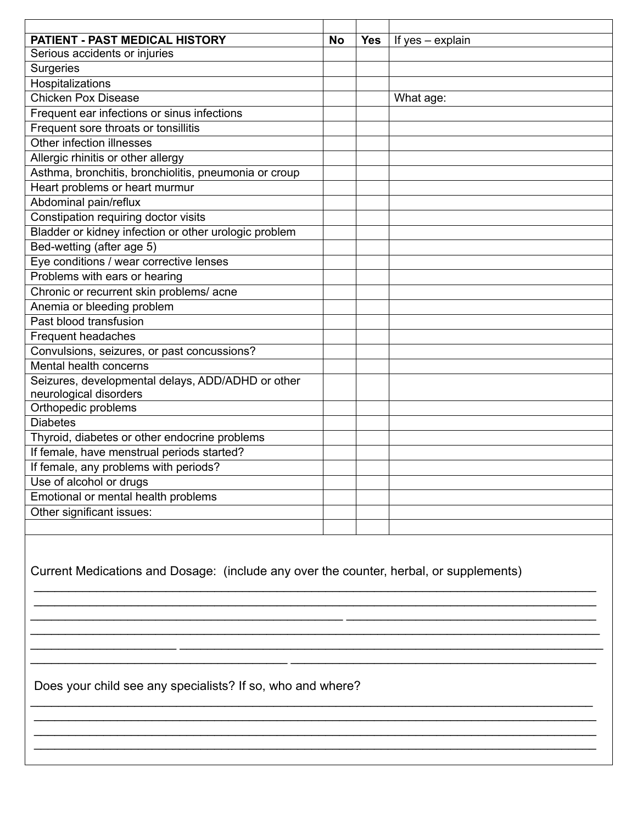| PATIENT - PAST MEDICAL HISTORY                        | <b>No</b> | <b>Yes</b> | If yes - explain |
|-------------------------------------------------------|-----------|------------|------------------|
| Serious accidents or injuries                         |           |            |                  |
| Surgeries                                             |           |            |                  |
| Hospitalizations                                      |           |            |                  |
| <b>Chicken Pox Disease</b>                            |           |            | What age:        |
| Frequent ear infections or sinus infections           |           |            |                  |
| Frequent sore throats or tonsillitis                  |           |            |                  |
| Other infection illnesses                             |           |            |                  |
| Allergic rhinitis or other allergy                    |           |            |                  |
| Asthma, bronchitis, bronchiolitis, pneumonia or croup |           |            |                  |
| Heart problems or heart murmur                        |           |            |                  |
| Abdominal pain/reflux                                 |           |            |                  |
| Constipation requiring doctor visits                  |           |            |                  |
| Bladder or kidney infection or other urologic problem |           |            |                  |
| Bed-wetting (after age 5)                             |           |            |                  |
| Eye conditions / wear corrective lenses               |           |            |                  |
| Problems with ears or hearing                         |           |            |                  |
| Chronic or recurrent skin problems/ acne              |           |            |                  |
| Anemia or bleeding problem                            |           |            |                  |
| Past blood transfusion                                |           |            |                  |
| Frequent headaches                                    |           |            |                  |
| Convulsions, seizures, or past concussions?           |           |            |                  |
| Mental health concerns                                |           |            |                  |
| Seizures, developmental delays, ADD/ADHD or other     |           |            |                  |
| neurological disorders                                |           |            |                  |
| Orthopedic problems                                   |           |            |                  |
| <b>Diabetes</b>                                       |           |            |                  |
| Thyroid, diabetes or other endocrine problems         |           |            |                  |
| If female, have menstrual periods started?            |           |            |                  |
| If female, any problems with periods?                 |           |            |                  |
| Use of alcohol or drugs                               |           |            |                  |
| Emotional or mental health problems                   |           |            |                  |
| Other significant issues:                             |           |            |                  |
|                                                       |           |            |                  |

Current Medications and Dosage: (include any over the counter, herbal, or supplements)

 $\mathcal{L}_\text{max} = \mathcal{L}_\text{max} = \mathcal{L}_\text{max} = \mathcal{L}_\text{max} = \mathcal{L}_\text{max} = \mathcal{L}_\text{max} = \mathcal{L}_\text{max} = \mathcal{L}_\text{max} = \mathcal{L}_\text{max} = \mathcal{L}_\text{max} = \mathcal{L}_\text{max} = \mathcal{L}_\text{max} = \mathcal{L}_\text{max} = \mathcal{L}_\text{max} = \mathcal{L}_\text{max} = \mathcal{L}_\text{max} = \mathcal{L}_\text{max} = \mathcal{L}_\text{max} = \mathcal{$ \_\_\_\_\_\_\_\_\_\_\_\_\_\_\_\_\_\_\_\_\_\_\_\_\_\_\_\_\_\_\_\_\_\_\_\_\_\_\_\_\_\_\_\_\_\_\_\_\_\_\_\_\_\_\_\_\_\_\_\_\_\_\_\_\_\_\_\_\_\_\_\_\_\_\_\_\_\_\_\_\_

 $\mathcal{L}_\text{max} = \frac{1}{2} \sum_{i=1}^{n} \frac{1}{2} \sum_{i=1}^{n} \frac{1}{2} \sum_{i=1}^{n} \frac{1}{2} \sum_{i=1}^{n} \frac{1}{2} \sum_{i=1}^{n} \frac{1}{2} \sum_{i=1}^{n} \frac{1}{2} \sum_{i=1}^{n} \frac{1}{2} \sum_{i=1}^{n} \frac{1}{2} \sum_{i=1}^{n} \frac{1}{2} \sum_{i=1}^{n} \frac{1}{2} \sum_{i=1}^{n} \frac{1}{2} \sum_{i=1}^{n} \frac{1$  $\mathcal{L}_\text{max} = \frac{1}{2} \sum_{i=1}^{n} \frac{1}{2} \sum_{i=1}^{n} \frac{1}{2} \sum_{i=1}^{n} \frac{1}{2} \sum_{i=1}^{n} \frac{1}{2} \sum_{i=1}^{n} \frac{1}{2} \sum_{i=1}^{n} \frac{1}{2} \sum_{i=1}^{n} \frac{1}{2} \sum_{i=1}^{n} \frac{1}{2} \sum_{i=1}^{n} \frac{1}{2} \sum_{i=1}^{n} \frac{1}{2} \sum_{i=1}^{n} \frac{1}{2} \sum_{i=1}^{n} \frac{1$ \_\_\_\_\_\_\_\_\_\_\_\_\_\_\_\_\_\_\_\_\_\_\_\_\_\_\_\_\_\_\_\_\_\_\_\_\_ \_\_\_\_\_\_\_\_\_\_\_\_\_\_\_\_\_\_\_\_\_\_\_\_\_\_\_\_\_\_\_\_\_\_\_\_\_\_\_\_\_\_\_\_

\_\_\_\_\_\_\_\_\_\_\_\_\_\_\_\_\_\_\_\_\_\_\_\_\_\_\_\_\_\_\_\_\_\_\_\_\_\_\_\_\_\_\_\_\_\_\_\_\_\_\_\_\_\_\_\_\_\_\_\_\_\_\_\_\_\_\_\_\_\_\_\_\_\_\_\_\_\_\_\_\_  $\mathcal{L}_\text{max} = \mathcal{L}_\text{max} = \mathcal{L}_\text{max} = \mathcal{L}_\text{max} = \mathcal{L}_\text{max} = \mathcal{L}_\text{max} = \mathcal{L}_\text{max} = \mathcal{L}_\text{max} = \mathcal{L}_\text{max} = \mathcal{L}_\text{max} = \mathcal{L}_\text{max} = \mathcal{L}_\text{max} = \mathcal{L}_\text{max} = \mathcal{L}_\text{max} = \mathcal{L}_\text{max} = \mathcal{L}_\text{max} = \mathcal{L}_\text{max} = \mathcal{L}_\text{max} = \mathcal{$ 

\_\_\_\_\_\_\_\_\_\_\_\_\_\_\_\_\_\_\_\_\_\_\_\_\_\_\_\_\_\_\_\_\_\_\_\_\_\_\_\_\_\_\_\_\_\_\_\_\_\_\_\_\_\_\_\_\_\_\_\_\_\_\_\_\_\_\_\_\_\_\_\_\_\_\_\_\_\_\_\_\_

Does your child see any specialists? If so, who and where?